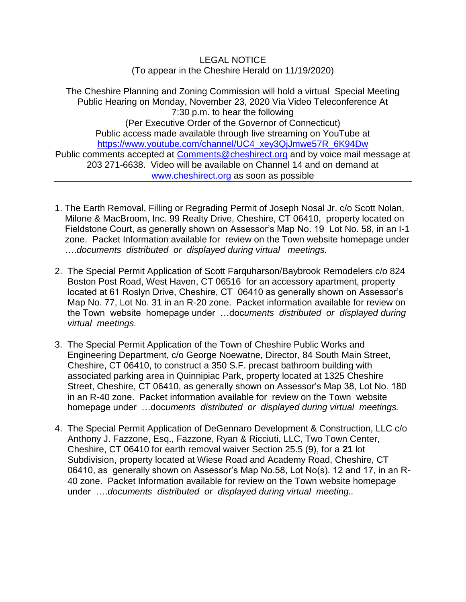LEGAL NOTICE (To appear in the Cheshire Herald on 11/19/2020)

The Cheshire Planning and Zoning Commission will hold a virtual Special Meeting Public Hearing on Monday, November 23, 2020 Via Video Teleconference At 7:30 p.m. to hear the following (Per Executive Order of the Governor of Connecticut) Public access made available through live streaming on YouTube at [https://www.youtube.com/channel/UC4\\_xey3QjJmwe57R\\_6K94Dw](https://www.youtube.com/channel/UC4_xey3QjJmwe57R_6K94Dw) Public comments accepted at [Comments@cheshirect.org](mailto:Comments@cheshirect.org) and by voice mail message at 203 271-6638. Video will be available on Channel 14 and on demand at [www.cheshirect.org](http://www.cheshirect.org/) as soon as possible

- 1. The Earth Removal, Filling or Regrading Permit of Joseph Nosal Jr. c/o Scott Nolan, Milone & MacBroom, Inc. 99 Realty Drive, Cheshire, CT 06410, property located on Fieldstone Court, as generally shown on Assessor's Map No. 19 Lot No. 58, in an I-1 zone. Packet Information available for review on the Town website homepage under ….*documents distributed or displayed during virtual meetings.*
- 2. The Special Permit Application of Scott Farquharson/Baybrook Remodelers c/o 824 Boston Post Road, West Haven, CT 06516 for an accessory apartment, property located at 61 Roslyn Drive, Cheshire, CT 06410 as generally shown on Assessor's Map No. 77, Lot No. 31 in an R-20 zone. Packet information available for review on the Town website homepage under …doc*uments distributed or displayed during virtual meetings.*
- 3. The Special Permit Application of the Town of Cheshire Public Works and Engineering Department, c/o George Noewatne, Director, 84 South Main Street, Cheshire, CT 06410, to construct a 350 S.F. precast bathroom building with associated parking area in Quinnipiac Park, property located at 1325 Cheshire Street, Cheshire, CT 06410, as generally shown on Assessor's Map 38, Lot No. 180 in an R-40 zone. Packet information available for review on the Town website homepage under …doc*uments distributed or displayed during virtual meetings.*
- 4. The Special Permit Application of DeGennaro Development & Construction, LLC c/o Anthony J. Fazzone, Esq., Fazzone, Ryan & Ricciuti, LLC, Two Town Center, Cheshire, CT 06410 for earth removal waiver Section 25.5 (9), for a **21** lot Subdivision, property located at Wiese Road and Academy Road, Cheshire, CT 06410, as generally shown on Assessor's Map No.58, Lot No(s). 12 and 17, in an R- 40 zone. Packet Information available for review on the Town website homepage under ….*documents distributed or displayed during virtual meeting..*